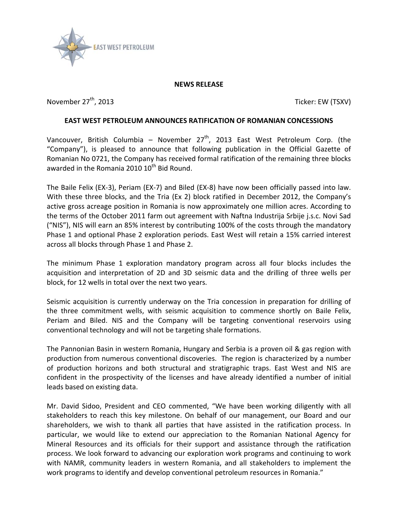

## **NEWS RELEASE**

November 27<sup>th</sup>, 2013 Ticker: EW (TSXV)

## **EAST WEST PETROLEUM ANNOUNCES RATIFICATION OF ROMANIAN CONCESSIONS**

Vancouver, British Columbia – November 27<sup>th</sup>, 2013 East West Petroleum Corp. (the "Company"), is pleased to announce that following publication in the Official Gazette of Romanian No 0721, the Company has received formal ratification of the remaining three blocks awarded in the Romania 2010  $10^{th}$  Bid Round.

The Baile Felix (EX-3), Periam (EX-7) and Biled (EX-8) have now been officially passed into law. With these three blocks, and the Tria (Ex 2) block ratified in December 2012, the Company's active gross acreage position in Romania is now approximately one million acres. According to the terms of the October 2011 farm out agreement with Naftna Industrija Srbije j.s.c. Novi Sad ("NIS"), NIS will earn an 85% interest by contributing 100% of the costs through the mandatory Phase 1 and optional Phase 2 exploration periods. East West will retain a 15% carried interest across all blocks through Phase 1 and Phase 2.

The minimum Phase 1 exploration mandatory program across all four blocks includes the acquisition and interpretation of 2D and 3D seismic data and the drilling of three wells per block, for 12 wells in total over the next two years.

Seismic acquisition is currently underway on the Tria concession in preparation for drilling of the three commitment wells, with seismic acquisition to commence shortly on Baile Felix, Periam and Biled. NIS and the Company will be targeting conventional reservoirs using conventional technology and will not be targeting shale formations.

The Pannonian Basin in western Romania, Hungary and Serbia is a proven oil & gas region with production from numerous conventional discoveries. The region is characterized by a number of production horizons and both structural and stratigraphic traps. East West and NIS are confident in the prospectivity of the licenses and have already identified a number of initial leads based on existing data.

Mr. David Sidoo, President and CEO commented, "We have been working diligently with all stakeholders to reach this key milestone. On behalf of our management, our Board and our shareholders, we wish to thank all parties that have assisted in the ratification process. In particular, we would like to extend our appreciation to the Romanian National Agency for Mineral Resources and its officials for their support and assistance through the ratification process. We look forward to advancing our exploration work programs and continuing to work with NAMR, community leaders in western Romania, and all stakeholders to implement the work programs to identify and develop conventional petroleum resources in Romania."